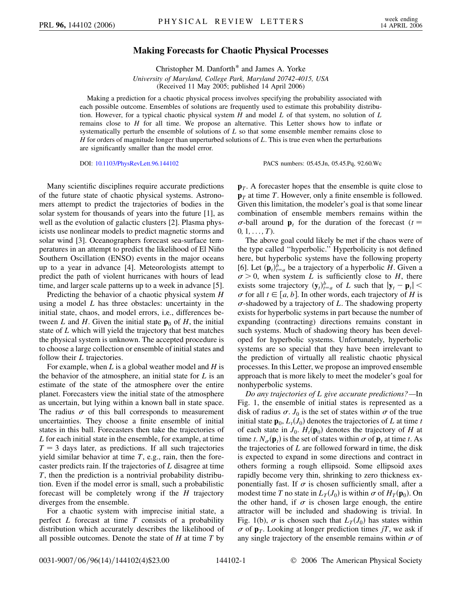## **Making Forecasts for Chaotic Physical Processes**

Christopher M. Danforth\* and James A. Yorke *University of Maryland, College Park, Maryland 20742-4015, USA* (Received 11 May 2005; published 14 April 2006)

Making a prediction for a chaotic physical process involves specifying the probability associated with each possible outcome. Ensembles of solutions are frequently used to estimate this probability distribution. However, for a typical chaotic physical system *H* and model *L* of that system, no solution of *L* remains close to *H* for all time. We propose an alternative. This Letter shows how to inflate or systematically perturb the ensemble of solutions of *L* so that some ensemble member remains close to *H* for orders of magnitude longer than unperturbed solutions of *L*. This is true even when the perturbations are significantly smaller than the model error.

DOI: [10.1103/PhysRevLett.96.144102](http://dx.doi.org/10.1103/PhysRevLett.96.144102) PACS numbers: 05.45.Jn, 05.45.Pq, 92.60.Wc

Many scientific disciplines require accurate predictions of the future state of chaotic physical systems. Astronomers attempt to predict the trajectories of bodies in the solar system for thousands of years into the future [1], as well as the evolution of galactic clusters [2]. Plasma physicists use nonlinear models to predict magnetic storms and solar wind [3]. Oceanographers forecast sea-surface temperatures in an attempt to predict the likelihood of El Niño Southern Oscillation (ENSO) events in the major oceans up to a year in advance [4]. Meteorologists attempt to predict the path of violent hurricanes with hours of lead time, and larger scale patterns up to a week in advance [5].

Predicting the behavior of a chaotic physical system *H* using a model *L* has three obstacles: uncertainty in the initial state, chaos, and model errors, i.e., differences between *L* and *H*. Given the initial state  $\mathbf{p}_0$  of *H*, the initial state of *L* which will yield the trajectory that best matches the physical system is unknown. The accepted procedure is to choose a large collection or ensemble of initial states and follow their *L* trajectories.

For example, when *L* is a global weather model and *H* is the behavior of the atmosphere, an initial state for *L* is an estimate of the state of the atmosphere over the entire planet. Forecasters view the initial state of the atmosphere as uncertain, but lying within a known ball in state space. The radius  $\sigma$  of this ball corresponds to measurement uncertainties. They choose a finite ensemble of initial states in this ball. Forecasters then take the trajectories of *L* for each initial state in the ensemble, for example, at time  $T = 3$  days later, as predictions. If all such trajectories yield similar behavior at time *T*, e.g., rain, then the forecaster predicts rain. If the trajectories of *L* disagree at time *T*, then the prediction is a nontrivial probability distribution. Even if the model error is small, such a probabilistic forecast will be completely wrong if the *H* trajectory diverges from the ensemble.

For a chaotic system with imprecise initial state, a perfect *L* forecast at time *T* consists of a probability distribution which accurately describes the likelihood of all possible outcomes. Denote the state of *H* at time *T* by **p**<sub>*T*</sub>. A forecaster hopes that the ensemble is quite close to **p***<sup>T</sup>* at time *T*. However, only a finite ensemble is followed. Given this limitation, the modeler's goal is that some linear combination of ensemble members remains within the  $\sigma$ -ball around **p**<sub>t</sub> for the duration of the forecast ( $t =$  $0, 1, \ldots, T$ .

The above goal could likely be met if the chaos were of the type called ''hyperbolic.'' Hyperbolicity is not defined here, but hyperbolic systems have the following property [6]. Let  $(\mathbf{p}_t)_{t=a}^b$  be a trajectory of a hyperbolic *H*. Given a  $\sigma > 0$ , when system *L* is sufficiently close to *H*, there exists some trajectory  $(\mathbf{y}_t)_{t=a}^b$  of *L* such that  $|\mathbf{y}_t - \mathbf{p}_t|$  <  $\sigma$  for all  $t \in [a, b]$ . In other words, each trajectory of *H* is  $\sigma$ -shadowed by a trajectory of *L*. The shadowing property exists for hyperbolic systems in part because the number of expanding (contracting) directions remains constant in such systems. Much of shadowing theory has been developed for hyperbolic systems. Unfortunately, hyperbolic systems are so special that they have been irrelevant to the prediction of virtually all realistic chaotic physical processes. In this Letter, we propose an improved ensemble approach that is more likely to meet the modeler's goal for nonhyperbolic systems.

*Do any trajectories of L give accurate predictions?—*In Fig. 1, the ensemble of initial states is represented as a disk of radius  $\sigma$ .  $J_0$  is the set of states within  $\sigma$  of the true initial state  $\mathbf{p}_0$ ,  $L_t(J_0)$  denotes the trajectories of *L* at time *t* of each state in  $J_0$ .  $H_t(\mathbf{p}_0)$  denotes the trajectory of *H* at time *t*.  $N_{\sigma}(\mathbf{p}_t)$  is the set of states within  $\sigma$  of  $\mathbf{p}_t$  at time *t*. As the trajectories of *L* are followed forward in time, the disk is expected to expand in some directions and contract in others forming a rough ellipsoid. Some ellipsoid axes rapidly become very thin, shrinking to zero thickness exponentially fast. If  $\sigma$  is chosen sufficiently small, after a modest time *T* no state in  $L_T(J_0)$  is within  $\sigma$  of  $H_T(\mathbf{p}_0)$ . On the other hand, if  $\sigma$  is chosen large enough, the entire attractor will be included and shadowing is trivial. In Fig. 1(b),  $\sigma$  is chosen such that  $L_T(J_0)$  has states within  $\sigma$  of  $\mathbf{p}_T$ . Looking at longer prediction times *jT*, we ask if any single trajectory of the ensemble remains within  $\sigma$  of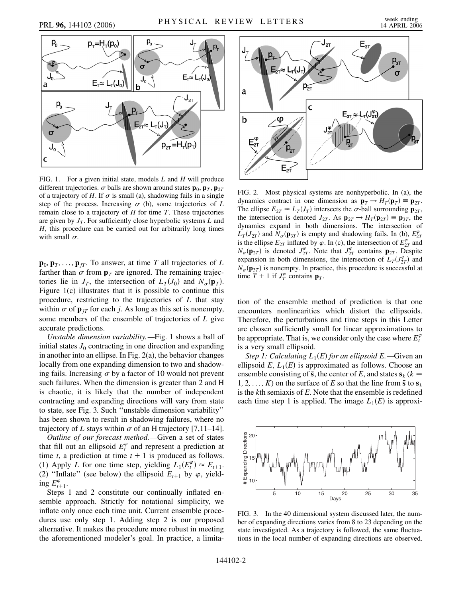

FIG. 1. For a given initial state, models *L* and *H* will produce different trajectories.  $\sigma$  balls are shown around states  $\mathbf{p}_0$ ,  $\mathbf{p}_T$ ,  $\mathbf{p}_{2T}$ of a trajectory of  $H$ . If  $\sigma$  is small (a), shadowing fails in a single step of the process. Increasing  $\sigma$  (b), some trajectories of  $L$ remain close to a trajectory of *H* for time *T*. These trajectories are given by  $J_T$ . For sufficiently close hyperbolic systems  $L$  and *H*, this procedure can be carried out for arbitrarily long times with small  $\sigma$ .

 $\mathbf{p}_0$ ,  $\mathbf{p}_T$ , ...,  $\mathbf{p}_{iT}$ . To answer, at time *T* all trajectories of *L* farther than  $\sigma$  from  $\mathbf{p}_T$  are ignored. The remaining trajectories lie in  $J_T$ , the intersection of  $L_T(J_0)$  and  $N_\sigma(\mathbf{p}_T)$ . Figure 1(c) illustrates that it is possible to continue this procedure, restricting to the trajectories of *L* that stay within  $\sigma$  of  $\mathbf{p}_{iT}$  for each *j*. As long as this set is nonempty, some members of the ensemble of trajectories of *L* give accurate predictions.

*Unstable dimension variability.—*Fig. 1 shows a ball of initial states  $J_0$  contracting in one direction and expanding in another into an ellipse. In Fig. 2(a), the behavior changes locally from one expanding dimension to two and shadowing fails. Increasing  $\sigma$  by a factor of 10 would not prevent such failures. When the dimension is greater than 2 and H is chaotic, it is likely that the number of independent contracting and expanding directions will vary from state to state, see Fig. 3. Such ''unstable dimension variability'' has been shown to result in shadowing failures, where no trajectory of *L* stays within  $\sigma$  of an H trajectory [7,11–14].

*Outline of our forecast method.—*Given a set of states that fill out an ellipsoid  $E_t^{\varphi}$  and represent a prediction at time *t*, a prediction at time  $t + 1$  is produced as follows. (1) Apply *L* for one time step, yielding  $L_1(E_t^{\varphi}) \approx E_{t+1}$ . (2) "Inflate" (see below) the ellipsoid  $E_{t+1}$  by  $\varphi$ , yield- $\log E_{t+1}^{\varphi}$ .

Steps 1 and 2 constitute our continually inflated ensemble approach. Strictly for notational simplicity, we inflate only once each time unit. Current ensemble procedures use only step 1. Adding step 2 is our proposed alternative. It makes the procedure more robust in meeting the aforementioned modeler's goal. In practice, a limita-



FIG. 2. Most physical systems are nonhyperbolic. In (a), the dynamics contract in one dimension as  $\mathbf{p}_T \rightarrow H_T(\mathbf{p}_T) \equiv \mathbf{p}_{2T}$ . The ellipse  $E_{2T} \approx L_T(J_T)$  intersects the  $\sigma$ -ball surrounding  $\mathbf{p}_{2T}$ , the intersection is denoted  $J_{2T}$ . As  $\mathbf{p}_{2T} \to H_T(\mathbf{p}_{2T}) \equiv \mathbf{p}_{3T}$ , the dynamics expand in both dimensions. The intersection of  $L_T(J_{2T})$  and  $N_\sigma(\mathbf{p}_{3T})$  is empty and shadowing fails. In (b),  $E_{2T}^{\varphi}$ is the ellipse  $E_{2T}$  inflated by  $\varphi$ . In (c), the intersection of  $E_{2T}^{\varphi}$  and  $N_{\sigma}(\mathbf{p}_{2T})$  is denoted  $J_{2T}^{\varphi}$ . Note that  $J_{2T}^{\varphi}$  contains  $\mathbf{p}_{2T}$ . Despite expansion in both dimensions, the intersection of  $L_T(J_{2T}^{\varphi})$  and  $N_{\sigma}(\mathbf{p}_{3T})$  is nonempty. In practice, this procedure is successful at time  $T + 1$  if  $J_T^{\varphi}$  contains  $\mathbf{p}_T$ .

tion of the ensemble method of prediction is that one encounters nonlinearities which distort the ellipsoids. Therefore, the perturbations and time steps in this Letter are chosen sufficiently small for linear approximations to be appropriate. That is, we consider only the case where  $E_t^{\varphi}$ is a very small ellipsoid.

*Step 1: Calculating*  $L_1(E)$  *for an ellipsoid*  $E$ *.*—Given an ellipsoid  $E$ ,  $L_1(E)$  is approximated as follows. Choose an ensemble consisting of  $\bar{s}$ , the center of *E*, and states  $s_k$  ( $k =$ 1, 2, ..., *K*) on the surface of *E* so that the line from  $\bar{\mathbf{s}}$  to  $\mathbf{s}_k$ is the *k*th semiaxis of *E*. Note that the ensemble is redefined each time step 1 is applied. The image  $L_1(E)$  is approxi-



FIG. 3. In the 40 dimensional system discussed later, the number of expanding directions varies from 8 to 23 depending on the state investigated. As a trajectory is followed, the same fluctuations in the local number of expanding directions are observed.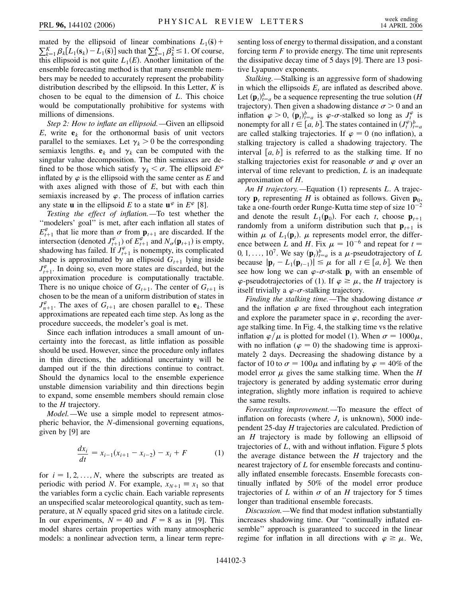mated by the ellipsoid of linear combinations  $L_1(\bar{s})$  +  $\sum_{k=1}^{K} \beta_k [L_1(\mathbf{s}_k) - L_1(\bar{\mathbf{s}})]$  such that  $\sum_{k=1}^{K} \beta_k^2 \le 1$ . Of course, this ellipsoid is not quite  $L_1(E)$ . Another limitation of the ensemble forecasting method is that many ensemble members may be needed to accurately represent the probability distribution described by the ellipsoid. In this Letter, *K* is chosen to be equal to the dimension of *L*. This choice would be computationally prohibitive for systems with millions of dimensions.

*Step 2: How to inflate an ellipsoid.—*Given an ellipsoid *E*, write  $e_k$  for the orthonormal basis of unit vectors parallel to the semiaxes. Let  $\gamma_k > 0$  be the corresponding semiaxis lengths.  $e_k$  and  $\gamma_k$  can be computed with the singular value decomposition. The thin semiaxes are defined to be those which satisfy  $\gamma_k < \sigma$ . The ellipsoid  $E^{\varphi}$ inflated by  $\varphi$  is the ellipsoid with the same center as  $E$  and with axes aligned with those of *E*, but with each thin semiaxis increased by  $\varphi$ . The process of inflation carries any state **u** in the ellipsoid *E* to a state  $\mathbf{u}^{\varphi}$  in  $E^{\varphi}$  [8].

*Testing the effect of inflation.—*To test whether the ''modelers' goal'' is met, after each inflation all states of  $E_{t+1}^{\varphi}$  that lie more than  $\sigma$  from  $\mathbf{p}_{t+1}$  are discarded. If the intersection (denoted  $J_{t+1}^{\varphi}$ ) of  $E_{t+1}^{\varphi}$  and  $N_{\sigma}(\mathbf{p}_{t+1})$  is empty, shadowing has failed. If  $J_{t+1}^{\varphi}$  is nonempty, its complicated shape is approximated by an ellipsoid  $G_{t+1}$  lying inside  $J_{t+1}^{\varphi}$ . In doing so, even more states are discarded, but the approximation procedure is computationally tractable. There is no unique choice of  $G_{t+1}$ . The center of  $G_{t+1}$  is chosen to be the mean of a uniform distribution of states in  $J_{n+1}^{\varphi}$ . The axes of  $G_{t+1}$  are chosen parallel to  $e_k$ . These approximations are repeated each time step. As long as the procedure succeeds, the modeler's goal is met.

Since each inflation introduces a small amount of uncertainty into the forecast, as little inflation as possible should be used. However, since the procedure only inflates in thin directions, the additional uncertainty will be damped out if the thin directions continue to contract. Should the dynamics local to the ensemble experience unstable dimension variability and thin directions begin to expand, some ensemble members should remain close to the *H* trajectory.

*Model*.—We use a simple model to represent atmospheric behavior, the *N*-dimensional governing equations, given by [9] are

$$
\frac{dx_i}{dt} = x_{i-1}(x_{i+1} - x_{i-2}) - x_i + F \tag{1}
$$

for  $i = 1, 2, \ldots, N$ , where the subscripts are treated as periodic with period *N*. For example,  $x_{N+1} \equiv x_1$  so that the variables form a cyclic chain. Each variable represents an unspecified scalar meteorological quantity, such as temperature, at *N* equally spaced grid sites on a latitude circle. In our experiments,  $N = 40$  and  $F = 8$  as in [9]. This model shares certain properties with many atmospheric models: a nonlinear advection term, a linear term representing loss of energy to thermal dissipation, and a constant forcing term *F* to provide energy. The time unit represents the dissipative decay time of 5 days [9]. There are 13 positive Lyapunov exponents.

*Stalking.—*Stalking is an aggressive form of shadowing in which the ellipsoids  $E_t$  are inflated as described above. Let  $(\mathbf{p}_t)_{t=a}^b$  be a sequence representing the true solution (*H* trajectory). Then given a shadowing distance  $\sigma > 0$  and an inflation  $\varphi > 0$ ,  $(\mathbf{p}_t)_{t=a}^b$  is  $\varphi$ - $\sigma$ -stalked so long as  $J_t^{\varphi}$  is nonempty for all  $t \in [a, b]$ . The states contained in  $(J_t^{\varphi})_{t=a}^b$ are called stalking trajectories. If  $\varphi = 0$  (no inflation), a stalking trajectory is called a shadowing trajectory. The interval  $[a, b]$  is referred to as the stalking time. If no stalking trajectories exist for reasonable  $\sigma$  and  $\varphi$  over an interval of time relevant to prediction, *L* is an inadequate approximation of *H*.

*An H trajectory.—*Equation (1) represents *L*. A trajectory  $\mathbf{p}_t$  representing *H* is obtained as follows. Given  $\mathbf{p}_0$ , take a one-fourth order Runge-Kutta time step of size  $10^{-2}$ and denote the result  $L_1(\mathbf{p}_0)$ . For each *t*, choose  $\mathbf{p}_{t+1}$ randomly from a uniform distribution such that  $\mathbf{p}_{t+1}$  is within  $\mu$  of  $L_1(\mathbf{p}_t)$ .  $\mu$  represents model error, the difference between *L* and *H*. Fix  $\mu = 10^{-6}$  and repeat for  $t =$ 0, 1, ..., 10<sup>7</sup>. We say  $(\mathbf{p}_t)_{t=a}^b$  is a  $\mu$ -pseudotrajectory of *L* because  $|\mathbf{p}_t - L_1(\mathbf{p}_{t-1})| \leq \mu$  for all  $t \in [a, b]$ . We then see how long we can  $\varphi$ - $\sigma$ -stalk **p**<sub>t</sub> with an ensemble of  $\varphi$ -pseudotrajectories of (1). If  $\varphi \geq \mu$ , the *H* trajectory is itself trivially a  $\varphi$ - $\sigma$ -stalking trajectory.

*Finding the stalking time.*—The shadowing distance  $\sigma$ and the inflation  $\varphi$  are fixed throughout each integration and explore the parameter space in  $\varphi$ , recording the average stalking time. In Fig. 4, the stalking time vs the relative inflation  $\varphi/\mu$  is plotted for model (1). When  $\sigma = 1000\mu$ , with no inflation ( $\varphi = 0$ ) the shadowing time is approximately 2 days. Decreasing the shadowing distance by a factor of 10 to  $\sigma = 100\mu$  and inflating by  $\varphi = 40\%$  of the model error  $\mu$  gives the same stalking time. When the *H* trajectory is generated by adding systematic error during integration, slightly more inflation is required to achieve the same results.

*Forecasting improvement.—*To measure the effect of inflation on forecasts (where  $J_t$  is unknown), 5000 independent 25-day *H* trajectories are calculated. Prediction of an *H* trajectory is made by following an ellipsoid of trajectories of *L*, with and without inflation. Figure 5 plots the average distance between the *H* trajectory and the nearest trajectory of *L* for ensemble forecasts and continually inflated ensemble forecasts. Ensemble forecasts continually inflated by 50% of the model error produce trajectories of *L* within  $\sigma$  of an *H* trajectory for 5 times longer than traditional ensemble forecasts.

*Discussion.—*We find that modest inflation substantially increases shadowing time. Our ''continually inflated ensemble'' approach is guaranteed to succeed in the linear regime for inflation in all directions with  $\varphi \geq \mu$ . We,